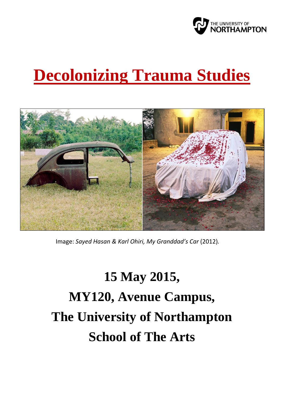

# **Decolonizing Trauma Studies**



Image: *Sayed Hasan & Karl Ohiri, My Granddad's Car* (2012)*.*

# **15 May 2015, MY120, Avenue Campus, The University of Northampton School of The Arts**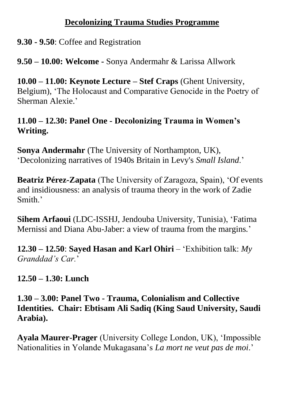#### **Decolonizing Trauma Studies Programme**

# **9.30 - 9.50**: Coffee and Registration

**9.50 – 10.00: Welcome -** Sonya Andermahr & Larissa Allwork

**10.00 – 11.00: Keynote Lecture – Stef Craps** (Ghent University, Belgium), 'The Holocaust and Comparative Genocide in the Poetry of Sherman Alexie.'

# **11.00 – 12.30: Panel One - Decolonizing Trauma in Women's Writing.**

**Sonya Andermahr** (The University of Northampton, UK), 'Decolonizing narratives of 1940s Britain in Levy's *Small Island*.'

**Beatriz Pérez-Zapata** (The University of Zaragoza, Spain), 'Of events and insidiousness: an analysis of trauma theory in the work of Zadie Smith.'

**Sihem Arfaoui** (LDC-ISSHJ, Jendouba University, Tunisia), 'Fatima Mernissi and Diana Abu-Jaber: a view of trauma from the margins*.*'

**12.30 – 12.50**: **Sayed Hasan and Karl Ohiri** – 'Exhibition talk: *My Granddad's Car.*'

**12.50 – 1.30: Lunch**

**1.30 – 3.00: Panel Two - Trauma, Colonialism and Collective Identities. Chair: Ebtisam Ali Sadiq (King Saud University, Saudi Arabia).**

**Ayala Maurer-Prager** (University College London, UK), 'Impossible Nationalities in Yolande Mukagasana's *La mort ne veut pas de moi*.'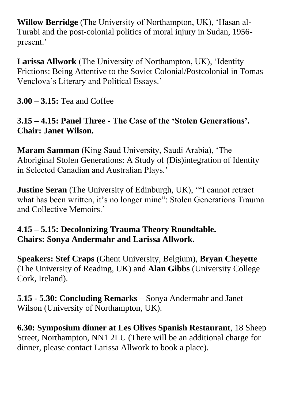**Willow Berridge** (The University of Northampton, UK), 'Hasan al-Turabi and the post-colonial politics of moral injury in Sudan, 1956 present.'

**Larissa Allwork** (The University of Northampton, UK), 'Identity Frictions: Being Attentive to the Soviet Colonial/Postcolonial in Tomas Venclova's Literary and Political Essays.'

**3.00 – 3.15:** Tea and Coffee

# **3.15 – 4.15: Panel Three - The Case of the 'Stolen Generations'. Chair: Janet Wilson.**

**Maram Samman** (King Saud University, Saudi Arabia), 'The Aboriginal Stolen Generations: A Study of (Dis)integration of Identity in Selected Canadian and Australian Plays.'

**Justine Seran** (The University of Edinburgh, UK), "I cannot retract what has been written, it's no longer mine": Stolen Generations Trauma and Collective Memoirs.'

# **4.15 – 5.15: Decolonizing Trauma Theory Roundtable. Chairs: Sonya Andermahr and Larissa Allwork.**

**Speakers: Stef Craps** (Ghent University, Belgium), **Bryan Cheyette** (The University of Reading, UK) and **Alan Gibbs** (University College Cork, Ireland).

**5.15 - 5.30: Concluding Remarks** – Sonya Andermahr and Janet Wilson (University of Northampton, UK).

**6.30: Symposium dinner at Les Olives Spanish Restaurant**, 18 Sheep Street, Northampton, NN1 2LU (There will be an additional charge for dinner, please contact Larissa Allwork to book a place).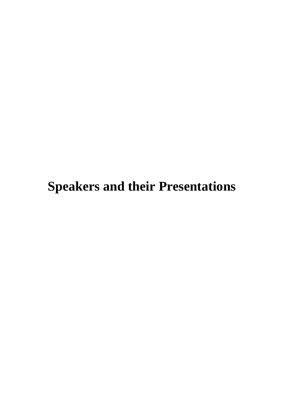# **Speakers and their Presentations**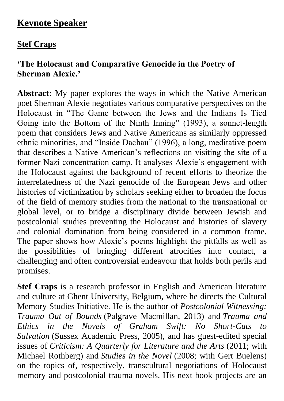# **Keynote Speaker**

# **Stef Craps**

# **'The Holocaust and Comparative Genocide in the Poetry of Sherman Alexie.'**

**Abstract:** My paper explores the ways in which the Native American poet Sherman Alexie negotiates various comparative perspectives on the Holocaust in "The Game between the Jews and the Indians Is Tied Going into the Bottom of the Ninth Inning" (1993), a sonnet-length poem that considers Jews and Native Americans as similarly oppressed ethnic minorities, and "Inside Dachau" (1996), a long, meditative poem that describes a Native American's reflections on visiting the site of a former Nazi concentration camp. It analyses Alexie's engagement with the Holocaust against the background of recent efforts to theorize the interrelatedness of the Nazi genocide of the European Jews and other histories of victimization by scholars seeking either to broaden the focus of the field of memory studies from the national to the transnational or global level, or to bridge a disciplinary divide between Jewish and postcolonial studies preventing the Holocaust and histories of slavery and colonial domination from being considered in a common frame. The paper shows how Alexie's poems highlight the pitfalls as well as the possibilities of bringing different atrocities into contact, a challenging and often controversial endeavour that holds both perils and promises.

**Stef Craps** is a research professor in English and American literature and culture at Ghent University, Belgium, where he directs the Cultural Memory Studies Initiative. He is the author of *Postcolonial Witnessing: Trauma Out of Bounds* (Palgrave Macmillan, 2013) and *Trauma and Ethics in the Novels of Graham Swift: No Short-Cuts to Salvation* (Sussex Academic Press, 2005), and has guest-edited special issues of *Criticism: A Quarterly for Literature and the Arts* (2011; with Michael Rothberg) and *Studies in the Novel* (2008; with Gert Buelens) on the topics of, respectively, transcultural negotiations of Holocaust memory and postcolonial trauma novels. His next book projects are an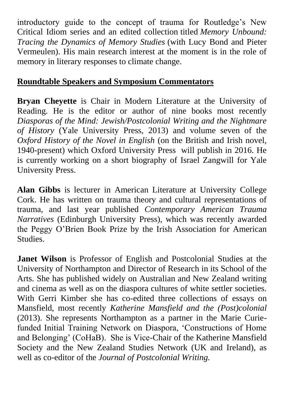introductory guide to the concept of trauma for Routledge's New Critical Idiom series and an edited collection titled *Memory Unbound: Tracing the Dynamics of Memory Studies* (with Lucy Bond and Pieter Vermeulen). His main research interest at the moment is in the role of memory in literary responses to climate change.

# **Roundtable Speakers and Symposium Commentators**

**Bryan Cheyette** is Chair in Modern Literature at the University of Reading. He is the editor or author of nine books most recently *Diasporas of the Mind: Jewish/Postcolonial Writing and the Nightmare of History* (Yale University Press, 2013) and volume seven of the *Oxford History of the Novel in English* (on the British and Irish novel, 1940-present) which Oxford University Press will publish in 2016. He is currently working on a short biography of Israel Zangwill for Yale University Press.

**Alan Gibbs** is lecturer in American Literature at University College Cork. He has written on trauma theory and cultural representations of trauma, and last year published *Contemporary American Trauma Narratives* (Edinburgh University Press), which was recently awarded the Peggy O'Brien Book Prize by the Irish Association for American Studies.

**Janet Wilson** is Professor of English and Postcolonial Studies at the University of Northampton and Director of Research in its School of the Arts. She has published widely on Australian and New Zealand writing and cinema as well as on the diaspora cultures of white settler societies. With Gerri Kimber she has co-edited three collections of essays on Mansfield, most recently *Katherine Mansfield and the (Post)colonial* (2013). She represents Northampton as a partner in the Marie Curiefunded Initial Training Network on Diaspora, 'Constructions of Home and Belonging' (CoHaB). She is Vice-Chair of the Katherine Mansfield Society and the New Zealand Studies Network (UK and Ireland), as well as co-editor of the *Journal of Postcolonial Writing.*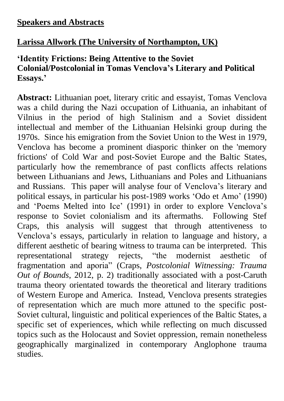#### **Speakers and Abstracts**

# **Larissa Allwork (The University of Northampton, UK)**

# **'Identity Frictions: Being Attentive to the Soviet Colonial/Postcolonial in Tomas Venclova's Literary and Political Essays.'**

**Abstract:** Lithuanian poet, literary critic and essayist, Tomas Venclova was a child during the Nazi occupation of Lithuania, an inhabitant of Vilnius in the period of high Stalinism and a Soviet dissident intellectual and member of the Lithuanian Helsinki group during the 1970s. Since his emigration from the Soviet Union to the West in 1979, Venclova has become a prominent diasporic thinker on the 'memory frictions' of Cold War and post-Soviet Europe and the Baltic States, particularly how the remembrance of past conflicts affects relations between Lithuanians and Jews, Lithuanians and Poles and Lithuanians and Russians. This paper will analyse four of Venclova's literary and political essays, in particular his post-1989 works 'Odo et Amo' (1990) and 'Poems Melted into Ice' (1991) in order to explore Venclova's response to Soviet colonialism and its aftermaths. Following Stef Craps, this analysis will suggest that through attentiveness to Venclova's essays, particularly in relation to language and history, a different aesthetic of bearing witness to trauma can be interpreted. This representational strategy rejects, "the modernist aesthetic of fragmentation and aporia" (Craps, *Postcolonial Witnessing: Trauma Out of Bounds*, 2012, p. 2) traditionally associated with a post-Caruth trauma theory orientated towards the theoretical and literary traditions of Western Europe and America. Instead, Venclova presents strategies of representation which are much more attuned to the specific post-Soviet cultural, linguistic and political experiences of the Baltic States, a specific set of experiences, which while reflecting on much discussed topics such as the Holocaust and Soviet oppression, remain nonetheless geographically marginalized in contemporary Anglophone trauma studies.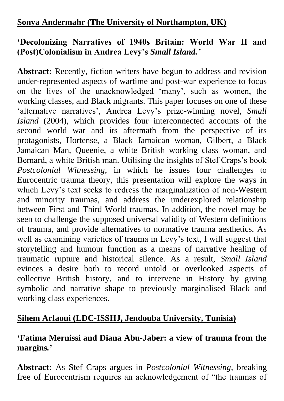## **Sonya Andermahr (The University of Northampton, UK)**

#### **'Decolonizing Narratives of 1940s Britain: World War II and (Post)Colonialism in Andrea Levy's** *Small Island.'*

**Abstract:** Recently, fiction writers have begun to address and revision under-represented aspects of wartime and post-war experience to focus on the lives of the unacknowledged 'many', such as women, the working classes, and Black migrants. This paper focuses on one of these 'alternative narratives', Andrea Levy's prize-winning novel, *Small Island* (2004), which provides four interconnected accounts of the second world war and its aftermath from the perspective of its protagonists, Hortense, a Black Jamaican woman, Gilbert, a Black Jamaican Man, Queenie, a white British working class woman, and Bernard, a white British man. Utilising the insights of Stef Craps's book *Postcolonial Witnessing*, in which he issues four challenges to Eurocentric trauma theory, this presentation will explore the ways in which Levy's text seeks to redress the marginalization of non-Western and minority traumas, and address the underexplored relationship between First and Third World traumas. In addition, the novel may be seen to challenge the supposed universal validity of Western definitions of trauma, and provide alternatives to normative trauma aesthetics. As well as examining varieties of trauma in Levy's text, I will suggest that storytelling and humour function as a means of narrative healing of traumatic rupture and historical silence. As a result, *Small Island* evinces a desire both to record untold or overlooked aspects of collective British history, and to intervene in History by giving symbolic and narrative shape to previously marginalised Black and working class experiences.

# **Sihem Arfaoui (LDC-ISSHJ, Jendouba University, Tunisia)**

#### **'Fatima Mernissi and Diana Abu-Jaber: a view of trauma from the margins***.***'**

**Abstract:** As Stef Craps argues in *Postcolonial Witnessing*, breaking free of Eurocentrism requires an acknowledgement of "the traumas of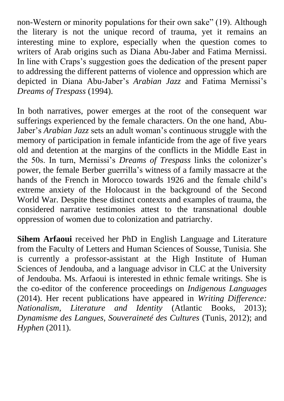non-Western or minority populations for their own sake" (19). Although the literary is not the unique record of trauma, yet it remains an interesting mine to explore, especially when the question comes to writers of Arab origins such as Diana Abu-Jaber and Fatima Mernissi. In line with Craps's suggestion goes the dedication of the present paper to addressing the different patterns of violence and oppression which are depicted in Diana Abu-Jaber's *Arabian Jazz* and Fatima Mernissi's *Dreams of Trespass* (1994).

In both narratives, power emerges at the root of the consequent war sufferings experienced by the female characters. On the one hand, Abu-Jaber's *Arabian Jazz* sets an adult woman's continuous struggle with the memory of participation in female infanticide from the age of five years old and detention at the margins of the conflicts in the Middle East in the 50s. In turn, Mernissi's *Dreams of Trespass* links the colonizer's power, the female Berber guerrilla's witness of a family massacre at the hands of the French in Morocco towards 1926 and the female child's extreme anxiety of the Holocaust in the background of the Second World War. Despite these distinct contexts and examples of trauma, the considered narrative testimonies attest to the transnational double oppression of women due to colonization and patriarchy.

**Sihem Arfaoui** received her PhD in English Language and Literature from the Faculty of Letters and Human Sciences of Sousse, Tunisia. She is currently a professor-assistant at the High Institute of Human Sciences of Jendouba, and a language advisor in CLC at the University of Jendouba. Ms. Arfaoui is interested in ethnic female writings. She is the co-editor of the conference proceedings on *Indigenous Languages* (2014). Her recent publications have appeared in *Writing Difference: Nationalism, Literature and Identity* (Atlantic Books, 2013); *Dynamisme des Langues, Souveraineté des Cultures* (Tunis, 2012); and *Hyphen* (2011).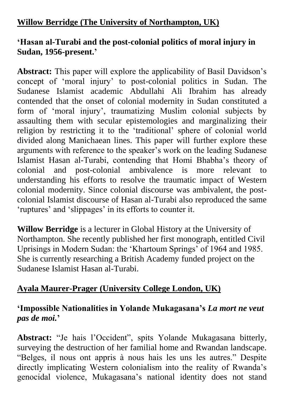# **Willow Berridge (The University of Northampton, UK)**

#### **'Hasan al-Turabi and the post-colonial politics of moral injury in Sudan, 1956-present.'**

**Abstract:** This paper will explore the applicability of Basil Davidson's concept of 'moral injury' to post-colonial politics in Sudan. The Sudanese Islamist academic Abdullahi Ali Ibrahim has already contended that the onset of colonial modernity in Sudan constituted a form of 'moral injury', traumatizing Muslim colonial subjects by assaulting them with secular epistemologies and marginalizing their religion by restricting it to the 'traditional' sphere of colonial world divided along Manichaean lines. This paper will further explore these arguments with reference to the speaker's work on the leading Sudanese Islamist Hasan al-Turabi, contending that Homi Bhabha's theory of colonial and post-colonial ambivalence is more relevant to understanding his efforts to resolve the traumatic impact of Western colonial modernity. Since colonial discourse was ambivalent, the postcolonial Islamist discourse of Hasan al-Turabi also reproduced the same 'ruptures' and 'slippages' in its efforts to counter it.

**Willow Berridge** is a lecturer in Global History at the University of Northampton. She recently published her first monograph, entitled Civil Uprisings in Modern Sudan: the 'Khartoum Springs' of 1964 and 1985. She is currently researching a British Academy funded project on the Sudanese Islamist Hasan al-Turabi.

#### **Ayala Maurer-Prager (University College London, UK)**

#### **'Impossible Nationalities in Yolande Mukagasana's** *La mort ne veut pas de moi.***'**

**Abstract:** "Je hais l'Occident", spits Yolande Mukagasana bitterly, surveying the destruction of her familial home and Rwandan landscape. "Belges, il nous ont appris à nous hais les uns les autres." Despite directly implicating Western colonialism into the reality of Rwanda's genocidal violence, Mukagasana's national identity does not stand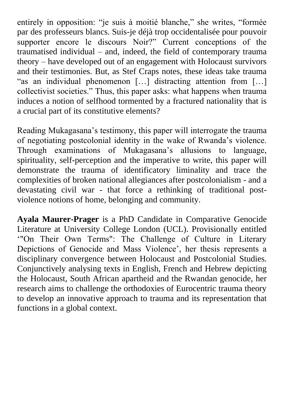entirely in opposition: "je suis à moitié blanche," she writes, "formée par des professeurs blancs. Suis-je déjà trop occidentalisée pour pouvoir supporter encore le discours Noir?" Current conceptions of the traumatised individual – and, indeed, the field of contemporary trauma theory – have developed out of an engagement with Holocaust survivors and their testimonies. But, as Stef Craps notes, these ideas take trauma "as an individual phenomenon […] distracting attention from […] collectivist societies." Thus, this paper asks: what happens when trauma induces a notion of selfhood tormented by a fractured nationality that is a crucial part of its constitutive elements?

Reading Mukagasana's testimony, this paper will interrogate the trauma of negotiating postcolonial identity in the wake of Rwanda's violence. Through examinations of Mukagasana's allusions to language, spirituality, self-perception and the imperative to write, this paper will demonstrate the trauma of identificatory liminality and trace the complexities of broken national allegiances after postcolonialism - and a devastating civil war - that force a rethinking of traditional postviolence notions of home, belonging and community.

**Ayala Maurer-Prager** is a PhD Candidate in Comparative Genocide Literature at University College London (UCL). Provisionally entitled '"On Their Own Terms": The Challenge of Culture in Literary Depictions of Genocide and Mass Violence', her thesis represents a disciplinary convergence between Holocaust and Postcolonial Studies. Conjunctively analysing texts in English, French and Hebrew depicting the Holocaust, South African apartheid and the Rwandan genocide, her research aims to challenge the orthodoxies of Eurocentric trauma theory to develop an innovative approach to trauma and its representation that functions in a global context.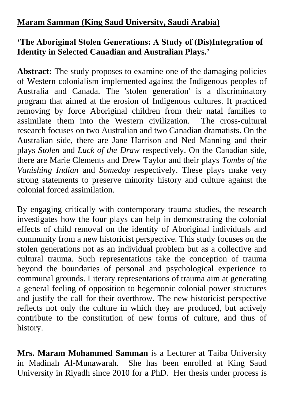# **Maram Samman (King Saud University, Saudi Arabia)**

#### **'The Aboriginal Stolen Generations: A Study of (Dis)Integration of Identity in Selected Canadian and Australian Plays.'**

**Abstract:** The study proposes to examine one of the damaging policies of Western colonialism implemented against the Indigenous peoples of Australia and Canada. The 'stolen generation' is a discriminatory program that aimed at the erosion of Indigenous cultures. It practiced removing by force Aboriginal children from their natal families to assimilate them into the Western civilization. The cross-cultural research focuses on two Australian and two Canadian dramatists. On the Australian side, there are Jane Harrison and Ned Manning and their plays *Stolen* and *Luck of the Draw* respectively. On the Canadian side, there are Marie Clements and Drew Taylor and their plays *Tombs of the Vanishing Indian* and *Someday* respectively. These plays make very strong statements to preserve minority history and culture against the colonial forced assimilation.

By engaging critically with contemporary trauma studies, the research investigates how the four plays can help in demonstrating the colonial effects of child removal on the identity of Aboriginal individuals and community from a new historicist perspective. This study focuses on the stolen generations not as an individual problem but as a collective and cultural trauma. Such representations take the conception of trauma beyond the boundaries of personal and psychological experience to communal grounds. Literary representations of trauma aim at generating a general feeling of opposition to hegemonic colonial power structures and justify the call for their overthrow. The new historicist perspective reflects not only the culture in which they are produced, but actively contribute to the constitution of new forms of culture, and thus of history.

**Mrs. Maram Mohammed Samman** is a Lecturer at Taiba University in Madinah Al-Munawarah. She has been enrolled at King Saud University in Riyadh since 2010 for a PhD. Her thesis under process is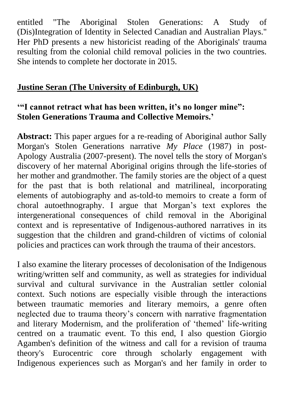entitled "The Aboriginal Stolen Generations: A Study of (Dis)Integration of Identity in Selected Canadian and Australian Plays." Her PhD presents a new historicist reading of the Aboriginals' trauma resulting from the colonial child removal policies in the two countries. She intends to complete her doctorate in 2015.

#### **Justine Seran (The University of Edinburgh, UK)**

#### **'"I cannot retract what has been written, it's no longer mine": Stolen Generations Trauma and Collective Memoirs.'**

**Abstract:** This paper argues for a re-reading of Aboriginal author Sally Morgan's Stolen Generations narrative *My Place* (1987) in post-Apology Australia (2007-present). The novel tells the story of Morgan's discovery of her maternal Aboriginal origins through the life-stories of her mother and grandmother. The family stories are the object of a quest for the past that is both relational and matrilineal, incorporating elements of autobiography and as-told-to memoirs to create a form of choral autoethnography. I argue that Morgan's text explores the intergenerational consequences of child removal in the Aboriginal context and is representative of Indigenous-authored narratives in its suggestion that the children and grand-children of victims of colonial policies and practices can work through the trauma of their ancestors.

I also examine the literary processes of decolonisation of the Indigenous writing/written self and community, as well as strategies for individual survival and cultural survivance in the Australian settler colonial context. Such notions are especially visible through the interactions between traumatic memories and literary memoirs, a genre often neglected due to trauma theory's concern with narrative fragmentation and literary Modernism, and the proliferation of 'themed' life-writing centred on a traumatic event. To this end, I also question Giorgio Agamben's definition of the witness and call for a revision of trauma theory's Eurocentric core through scholarly engagement with Indigenous experiences such as Morgan's and her family in order to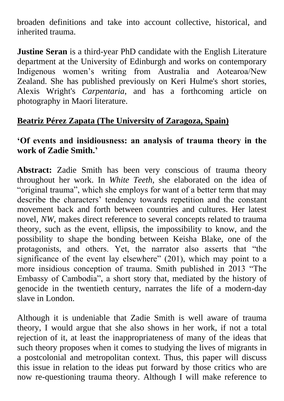broaden definitions and take into account collective, historical, and inherited trauma.

**Justine Seran** is a third-year PhD candidate with the English Literature department at the University of Edinburgh and works on contemporary Indigenous women's writing from Australia and Aotearoa/New Zealand. She has published previously on Keri Hulme's short stories, Alexis Wright's *Carpentaria*, and has a forthcoming article on photography in Maori literature.

## **Beatriz Pérez Zapata (The University of Zaragoza, Spain)**

#### **'Of events and insidiousness: an analysis of trauma theory in the work of Zadie Smith.'**

**Abstract:** Zadie Smith has been very conscious of trauma theory throughout her work. In *White Teeth*, she elaborated on the idea of "original trauma", which she employs for want of a better term that may describe the characters' tendency towards repetition and the constant movement back and forth between countries and cultures. Her latest novel, *NW*, makes direct reference to several concepts related to trauma theory, such as the event, ellipsis, the impossibility to know, and the possibility to shape the bonding between Keisha Blake, one of the protagonists, and others. Yet, the narrator also asserts that "the significance of the event lay elsewhere" (201), which may point to a more insidious conception of trauma. Smith published in 2013 "The Embassy of Cambodia", a short story that, mediated by the history of genocide in the twentieth century, narrates the life of a modern-day slave in London.

Although it is undeniable that Zadie Smith is well aware of trauma theory, I would argue that she also shows in her work, if not a total rejection of it, at least the inappropriateness of many of the ideas that such theory proposes when it comes to studying the lives of migrants in a postcolonial and metropolitan context. Thus, this paper will discuss this issue in relation to the ideas put forward by those critics who are now re-questioning trauma theory. Although I will make reference to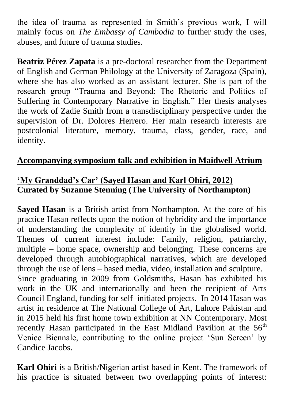the idea of trauma as represented in Smith's previous work, I will mainly focus on *The Embassy of Cambodia* to further study the uses, abuses, and future of trauma studies.

**Beatriz Pérez Zapata** is a pre-doctoral researcher from the Department of English and German Philology at the University of Zaragoza (Spain), where she has also worked as an assistant lecturer. She is part of the research group "Trauma and Beyond: The Rhetoric and Politics of Suffering in Contemporary Narrative in English." Her thesis analyses the work of Zadie Smith from a transdisciplinary perspective under the supervision of Dr. Dolores Herrero. Her main research interests are postcolonial literature, memory, trauma, class, gender, race, and identity.

## **Accompanying symposium talk and exhibition in Maidwell Atrium**

#### **'My Granddad's Car' (Sayed Hasan and Karl Ohiri, 2012) Curated by Suzanne Stenning (The University of Northampton)**

**Sayed Hasan** is a British artist from Northampton. At the core of his practice Hasan reflects upon the notion of hybridity and the importance of understanding the complexity of identity in the globalised world. Themes of current interest include: Family, religion, patriarchy, multiple – home space, ownership and belonging. These concerns are developed through autobiographical narratives, which are developed through the use of lens – based media, video, installation and sculpture. Since graduating in 2009 from Goldsmiths, Hasan has exhibited his work in the UK and internationally and been the recipient of Arts Council England, funding for self–initiated projects. In 2014 Hasan was artist in residence at The National College of Art, Lahore Pakistan and in 2015 held his first home town exhibition at NN Contemporary. Most recently Hasan participated in the East Midland Pavilion at the  $56<sup>th</sup>$ Venice Biennale, contributing to the online project 'Sun Screen' by Candice Jacobs.

**Karl Ohiri** is a British/Nigerian artist based in Kent. The framework of his practice is situated between two overlapping points of interest: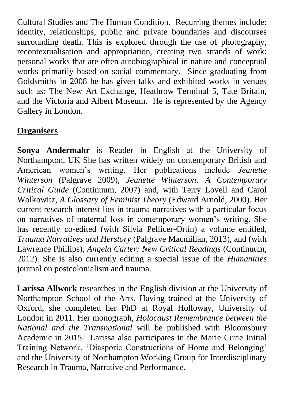Cultural Studies and The Human Condition. Recurring themes include: identity, relationships, public and private boundaries and discourses surrounding death. This is explored through the use of photography, recontextualisation and appropriation, creating two strands of work: personal works that are often autobiographical in nature and conceptual works primarily based on social commentary. Since graduating from Goldsmiths in 2008 he has given talks and exhibited works in venues such as: The New Art Exchange, Heathrow Terminal 5, Tate Britain, and the Victoria and Albert Museum. He is represented by the Agency Gallery in London.

# **Organisers**

**Sonya Andermahr** is Reader in English at the University of Northampton, UK She has written widely on contemporary British and American women's writing. Her publications include *Jeanette Winterson* (Palgrave 2009), *Jeanette Winterson: A Contemporary Critical Guide* (Continuum, 2007) and, with Terry Lovell and Carol Wolkowitz, *A Glossary of Feminist Theory* (Edward Arnold, 2000). Her current research interest lies in trauma narratives with a particular focus on narratives of maternal loss in contemporary women's writing. She has recently co-edited (with Silvia Pellicer-Ortín) a volume entitled, *Trauma Narratives and Herstory* (Palgrave Macmillan, 2013), and (with Lawrence Phillips), *Angela Carter: New Critical Readings* (Continuum, 2012). She is also currently editing a special issue of the *Humanities* journal on postcolonialism and trauma.

**Larissa Allwork** researches in the English division at the University of Northampton School of the Arts. Having trained at the University of Oxford, she completed her PhD at Royal Holloway, University of London in 2011. Her monograph, *Holocaust Remembrance between the National and the Transnational* will be published with Bloomsbury Academic in 2015. Larissa also participates in the Marie Curie Initial Training Network, 'Diasporic Constructions of Home and Belonging' and the University of Northampton Working Group for Interdisciplinary Research in Trauma, Narrative and Performance.